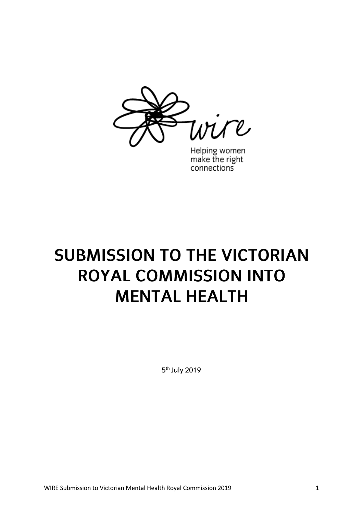

Helping women<br>make the right connections

# **SUBMISSION TO THE VICTORIAN ROYAL COMMISSION INTO MENTAL HEALTH**

5<sup>th</sup> July 2019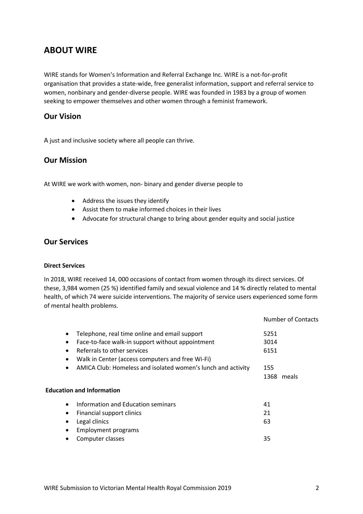# **ABOUT WIRE**

WIRE stands for Women's Information and Referral Exchange Inc. WIRE is a not-for-profit organisation that provides a state-wide, free generalist information, support and referral service to women, nonbinary and gender-diverse people. WIRE was founded in 1983 by a group of women seeking to empower themselves and other women through a feminist framework.

# **Our Vision**

A just and inclusive society where all people can thrive.

# **Our Mission**

At WIRE we work with women, non- binary and gender diverse people to

- Address the issues they identify
- Assist them to make informed choices in their lives
- Advocate for structural change to bring about gender equity and social justice

## **Our Services**

#### **Direct Services**

In 2018, WIRE received 14, 000 occasions of contact from women through its direct services. Of these, 3,984 women (25 %) identified family and sexual violence and 14 % directly related to mental health, of which 74 were suicide interventions. The majority of service users experienced some form of mental health problems.

|                                                                           | Number of Contacts |
|---------------------------------------------------------------------------|--------------------|
| Telephone, real time online and email support<br>$\bullet$                | 5251               |
| Face-to-face walk-in support without appointment<br>$\bullet$             | 3014               |
| Referrals to other services<br>$\bullet$                                  | 6151               |
| Walk in Center (access computers and free Wi-Fi)<br>$\bullet$             |                    |
| AMICA Club: Homeless and isolated women's lunch and activity<br>$\bullet$ | 155                |
|                                                                           | 1368 meals         |
| <b>Education and Information</b>                                          |                    |
| Information and Education seminars<br>$\bullet$                           | 41                 |
| Financial support clinics<br>$\bullet$                                    | 21                 |
| Legal clinics                                                             | 63                 |
| <b>Employment programs</b>                                                |                    |
| Computer classes                                                          | 35                 |
|                                                                           |                    |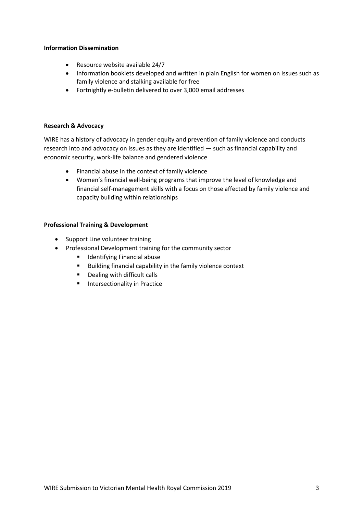#### **Information Dissemination**

- Resource website available 24/7
- Information booklets developed and written in plain English for women on issues such as family violence and stalking available for free
- Fortnightly e-bulletin delivered to over 3,000 email addresses

#### **Research & Advocacy**

WIRE has a history of advocacy in gender equity and prevention of family violence and conducts research into and advocacy on issues as they are identified — such as financial capability and economic security, work-life balance and gendered violence

- Financial abuse in the context of family violence
- Women's financial well-being programs that improve the level of knowledge and financial self-management skills with a focus on those affected by family violence and capacity building within relationships

#### **Professional Training & Development**

- Support Line volunteer training
- Professional Development training for the community sector
	- Identifying Financial abuse
	- Building financial capability in the family violence context
	- Dealing with difficult calls
	- **Intersectionality in Practice**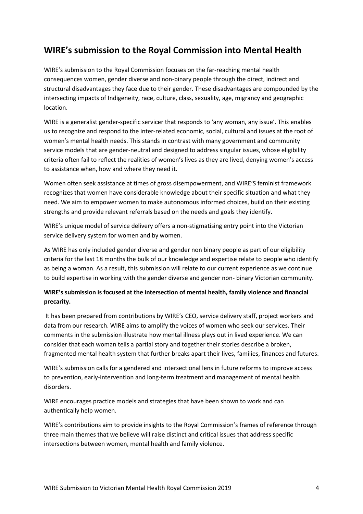# **WIRE's submission to the Royal Commission into Mental Health**

WIRE's submission to the Royal Commission focuses on the far-reaching mental health consequences women, gender diverse and non-binary people through the direct, indirect and structural disadvantages they face due to their gender. These disadvantages are compounded by the intersecting impacts of Indigeneity, race, culture, class, sexuality, age, migrancy and geographic location.

WIRE is a generalist gender-specific servicer that responds to 'any woman, any issue'. This enables us to recognize and respond to the inter-related economic, social, cultural and issues at the root of women's mental health needs. This stands in contrast with many government and community service models that are gender-neutral and designed to address singular issues, whose eligibility criteria often fail to reflect the realities of women's lives as they are lived, denying women's access to assistance when, how and where they need it.

Women often seek assistance at times of gross disempowerment, and WIRE'S feminist framework recognizes that women have considerable knowledge about their specific situation and what they need. We aim to empower women to make autonomous informed choices, build on their existing strengths and provide relevant referrals based on the needs and goals they identify.

WIRE's unique model of service delivery offers a non-stigmatising entry point into the Victorian service delivery system for women and by women.

As WIRE has only included gender diverse and gender non binary people as part of our eligibility criteria for the last 18 months the bulk of our knowledge and expertise relate to people who identify as being a woman. As a result, this submission will relate to our current experience as we continue to build expertise in working with the gender diverse and gender non- binary Victorian community.

## **WIRE's submission is focused at the intersection of mental health, family violence and financial precarity.**

It has been prepared from contributions by WIRE's CEO, service delivery staff, project workers and data from our research. WIRE aims to amplify the voices of women who seek our services. Their comments in the submission illustrate how mental illness plays out in lived experience. We can consider that each woman tells a partial story and together their stories describe a broken, fragmented mental health system that further breaks apart their lives, families, finances and futures.

WIRE's submission calls for a gendered and intersectional lens in future reforms to improve access to prevention, early-intervention and long-term treatment and management of mental health disorders.

WIRE encourages practice models and strategies that have been shown to work and can authentically help women.

WIRE's contributions aim to provide insights to the Royal Commission's frames of reference through three main themes that we believe will raise distinct and critical issues that address specific intersections between women, mental health and family violence.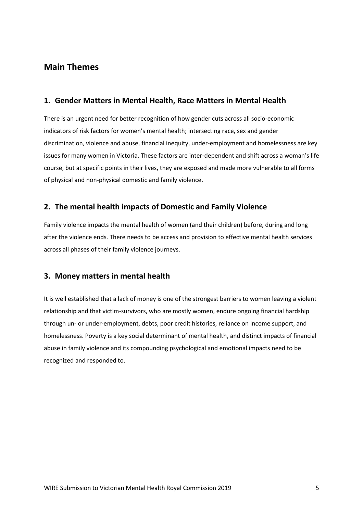# **Main Themes**

# **1. Gender Matters in Mental Health, Race Matters in Mental Health**

There is an urgent need for better recognition of how gender cuts across all socio-economic indicators of risk factors for women's mental health; intersecting race, sex and gender discrimination, violence and abuse, financial inequity, under-employment and homelessness are key issues for many women in Victoria. These factors are inter-dependent and shift across a woman's life course, but at specific points in their lives, they are exposed and made more vulnerable to all forms of physical and non-physical domestic and family violence.

# **2. The mental health impacts of Domestic and Family Violence**

Family violence impacts the mental health of women (and their children) before, during and long after the violence ends. There needs to be access and provision to effective mental health services across all phases of their family violence journeys.

# **3. Money matters in mental health**

It is well established that a lack of money is one of the strongest barriers to women leaving a violent relationship and that victim-survivors, who are mostly women, endure ongoing financial hardship through un- or under-employment, debts, poor credit histories, reliance on income support, and homelessness. Poverty is a key social determinant of mental health, and distinct impacts of financial abuse in family violence and its compounding psychological and emotional impacts need to be recognized and responded to.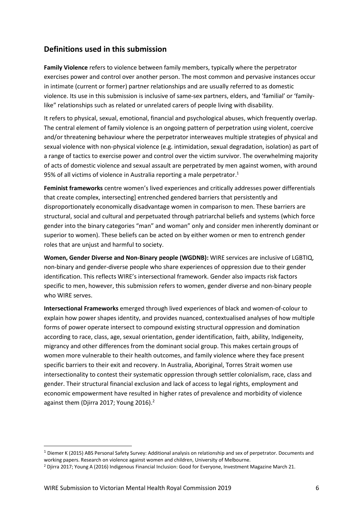# **Definitions used in this submission**

**Family Violence** refers to violence between family members, typically where the perpetrator exercises power and control over another person. The most common and pervasive instances occur in intimate (current or former) partner relationships and are usually referred to as domestic violence. Its use in this submission is inclusive of same-sex partners, elders, and 'familial' or 'familylike" relationships such as related or unrelated carers of people living with disability.

It refers to physical, sexual, emotional, financial and psychological abuses, which frequently overlap. The central element of family violence is an ongoing pattern of perpetration using violent, coercive and/or threatening behaviour where the perpetrator interweaves multiple strategies of physical and sexual violence with non-physical violence (e.g. intimidation, sexual degradation, isolation) as part of a range of tactics to exercise power and control over the victim survivor. The overwhelming majority of acts of domestic violence and sexual assault are perpetrated by men against women, with around 95% of all victims of violence in Australia reporting a male perpetrator.<sup>1</sup>

**Feminist frameworks** centre women's lived experiences and critically addresses power differentials that create complex, intersecting] entrenched gendered barriers that persistently and disproportionately economically disadvantage women in comparison to men. These barriers are structural, social and cultural and perpetuated through patriarchal beliefs and systems (which force gender into the binary categories "man" and woman" only and consider men inherently dominant or superior to women). These beliefs can be acted on by either women or men to entrench gender roles that are unjust and harmful to society.

**Women, Gender Diverse and Non-Binary people (WGDNB):** WIRE services are inclusive of LGBTIQ, non-binary and gender-diverse people who share experiences of oppression due to their gender identification. This reflects WIRE's intersectional framework. Gender also impacts risk factors specific to men, however, this submission refers to women, gender diverse and non-binary people who WIRE serves.

**Intersectional Frameworks** emerged through lived experiences of black and women-of-colour to explain how power shapes identity, and provides nuanced, contextualised analyses of how multiple forms of power operate intersect to compound existing structural oppression and domination according to race, class, age, sexual orientation, gender identification, faith, ability, Indigeneity, migrancy and other differences from the dominant social group. This makes certain groups of women more vulnerable to their health outcomes, and family violence where they face present specific barriers to their exit and recovery. In Australia, Aboriginal, Torres Strait women use intersectionality to contest their systematic oppression through settler colonialism, race, class and gender. Their structural financial exclusion and lack of access to legal rights, employment and economic empowerment have resulted in higher rates of prevalence and morbidity of violence against them (Djirra 2017; Young 2016).<sup>2</sup>

<sup>1</sup> Diemer K (2015) ABS Personal Safety Survey: Additional analysis on relationship and sex of perpetrator. Documents and working papers. Research on violence against women and children, University of Melbourne.

<sup>2</sup> Djirra 2017; Young A (2016) Indigenous Financial Inclusion: Good for Everyone, Investment Magazine March 21.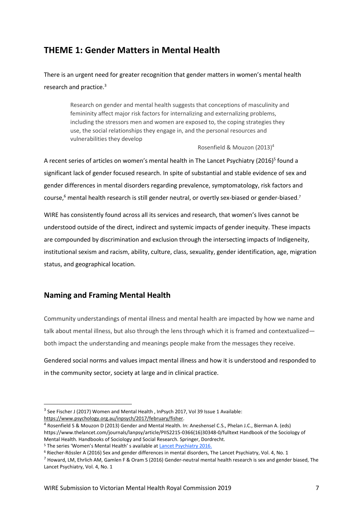# **THEME 1: Gender Matters in Mental Health**

There is an urgent need for greater recognition that gender matters in women's mental health research and practice.<sup>3</sup>

> Research on gender and mental health suggests that conceptions of masculinity and femininity affect major risk factors for internalizing and externalizing problems, including the stressors men and women are exposed to, the coping strategies they use, the social relationships they engage in, and the personal resources and vulnerabilities they develop

> > Rosenfield & Mouzon (2013) 4

A recent series of articles on women's mental health in The Lancet Psychiatry (2016)<sup>5</sup> found a significant lack of gender focused research. In spite of substantial and stable evidence of sex and gender differences in mental disorders regarding prevalence, symptomatology, risk factors and course, $^6$  mental health research is still gender neutral, or overtly sex-biased or gender-biased.<sup>7</sup>

WIRE has consistently found across all its services and research, that women's lives cannot be understood outside of the direct, indirect and systemic impacts of gender inequity. These impacts are compounded by discrimination and exclusion through the intersecting impacts of Indigeneity, institutional sexism and racism, ability, culture, class, sexuality, gender identification, age, migration status, and geographical location.

# **Naming and Framing Mental Health**

 $\overline{a}$ 

Community understandings of mental illness and mental health are impacted by how we name and talk about mental illness, but also through the lens through which it is framed and contextualized both impact the understanding and meanings people make from the messages they receive.

Gendered social norms and values impact mental illness and how it is understood and responded to in the community sector, society at large and in clinical practice.

<sup>&</sup>lt;sup>3</sup> See Fischer J (2017) Women and Mental Health, InPsych 2017, Vol 39 Issue 1 Available: [https://www.psychology.org.au/inpsych/2017/february/fisher.](https://www.psychology.org.au/inpsych/2017/february/fisher)

<sup>4</sup> Rosenfield S & Mouzon D (2013) Gender and Mental Health. In: Aneshensel C.S., Phelan J.C., Bierman A. (eds) https://www.thelancet.com/journals/lanpsy/article/PIIS2215-0366(16)30348-0/fulltext Handbook of the Sociology of Mental Health. Handbooks of Sociology and Social Research. Springer, Dordrecht. <sup>5</sup> The series 'Women's Mental Health' s available at [Lancet Psychiatry 2016.](https://www.thelancet.com/series/women-mental-health)

<sup>6</sup> Riecher-Rössler A (2016) Sex and gender differences in mental disorders, The Lancet Psychiatry, Vol. 4, No. 1

 $^7$  Howard, LM, Ehrlich AM, Gamlen F & Oram S (2016) Gender-neutral mental health research is sex and gender biased, The Lancet Psychiatry, Vol. 4, No. 1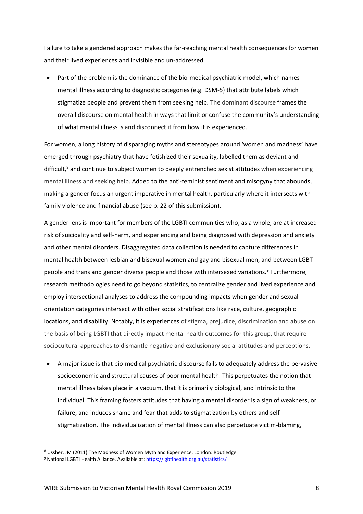Failure to take a gendered approach makes the far-reaching mental health consequences for women and their lived experiences and invisible and un-addressed.

 Part of the problem is the dominance of the bio-medical psychiatric model, which names mental illness according to diagnostic categories (e.g. DSM-5) that attribute labels which stigmatize people and prevent them from seeking help. The dominant discourse frames the overall discourse on mental health in ways that limit or confuse the community's understanding of what mental illness is and disconnect it from how it is experienced.

For women, a long history of disparaging myths and stereotypes around 'women and madness' have emerged through psychiatry that have fetishized their sexuality, labelled them as deviant and difficult, <sup>8</sup> and continue to subject women to deeply entrenched sexist attitudes when experiencing mental illness and seeking help. Added to the anti-feminist sentiment and misogyny that abounds, making a gender focus an urgent imperative in mental health, particularly where it intersects with family violence and financial abuse (see p. 22 of this submission).

A gender lens is important for members of the LGBTI communities who, as a whole, are at increased risk of suicidality and self-harm, and experiencing and being diagnosed with depression and anxiety and other mental disorders. Disaggregated data collection is needed to capture differences in mental health between lesbian and bisexual women and gay and bisexual men, and between LGBT people and trans and gender diverse people and those with intersexed variations.<sup>9</sup> Furthermore, research methodologies need to go beyond statistics, to centralize gender and lived experience and employ intersectional analyses to address the compounding impacts when gender and sexual orientation categories intersect with other social stratifications like race, culture, geographic locations, and disability. Notably, it is experiences of stigma, prejudice, discrimination and abuse on the basis of being LGBTI that directly impact mental health outcomes for this group, that require sociocultural approaches to dismantle negative and exclusionary social attitudes and perceptions.

 A major issue is that bio-medical psychiatric discourse fails to adequately address the pervasive socioeconomic and structural causes of poor mental health. This perpetuates the notion that mental illness takes place in a vacuum, that it is primarily biological, and intrinsic to the individual. This framing fosters attitudes that having a mental disorder is a sign of weakness, or failure, and induces shame and fear that adds to stigmatization by others and selfstigmatization. The individualization of mental illness can also perpetuate victim-blaming,

<sup>8</sup> Ussher, JM (2011) The Madness of Women Myth and Experience, London: Routledge

<sup>9</sup> National LGBTI Health Alliance. Available at[: https://lgbtihealth.org.au/statistics/](https://lgbtihealth.org.au/statistics/)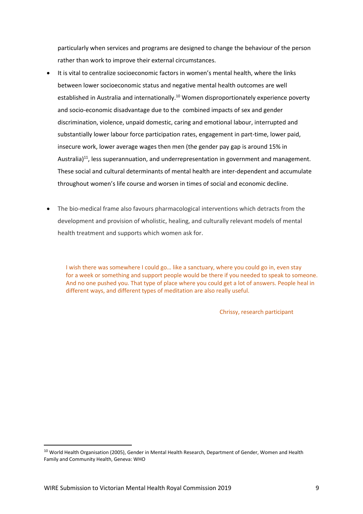particularly when services and programs are designed to change the behaviour of the person rather than work to improve their external circumstances.

- It is vital to centralize socioeconomic factors in women's mental health, where the links between lower socioeconomic status and negative mental health outcomes are well established in Australia and internationally.<sup>10</sup> Women disproportionately experience poverty and socio-economic disadvantage due to the combined impacts of sex and gender discrimination, violence, unpaid domestic, caring and emotional labour, interrupted and substantially lower labour force participation rates, engagement in part-time, lower paid, insecure work, lower average wages then men (the gender pay gap is around 15% in Australia)<sup>11</sup>, less superannuation, and underrepresentation in government and management. These social and cultural determinants of mental health are inter-dependent and accumulate throughout women's life course and worsen in times of social and economic decline.
- The bio-medical frame also favours pharmacological interventions which detracts from the development and provision of wholistic, healing, and culturally relevant models of mental health treatment and supports which women ask for.

I wish there was somewhere I could go… like a sanctuary, where you could go in, even stay for a week or something and support people would be there if you needed to speak to someone. And no one pushed you. That type of place where you could get a lot of answers. People heal in different ways, and different types of meditation are also really useful.

Chrissy, research participant

<sup>&</sup>lt;sup>10</sup> World Health Organisation (2005), Gender in Mental Health Research, Department of Gender, Women and Health Family and Community Health, Geneva: WHO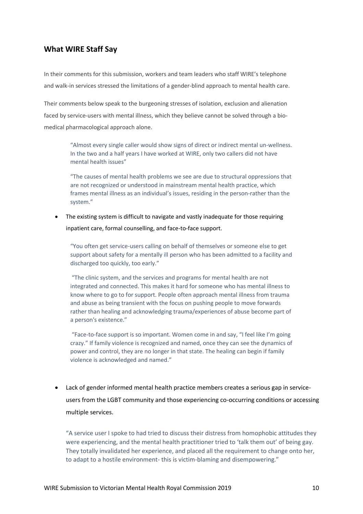# **What WIRE Staff Say**

In their comments for this submission, workers and team leaders who staff WIRE's telephone and walk-in services stressed the limitations of a gender-blind approach to mental health care.

Their comments below speak to the burgeoning stresses of isolation, exclusion and alienation faced by service-users with mental illness, which they believe cannot be solved through a biomedical pharmacological approach alone.

> "Almost every single caller would show signs of direct or indirect mental un-wellness. In the two and a half years I have worked at WIRE, only two callers did not have mental health issues"

> "The causes of mental health problems we see are due to structural oppressions that are not recognized or understood in mainstream mental health practice, which frames mental illness as an individual's issues, residing in the person-rather than the system."

• The existing system is difficult to navigate and vastly inadequate for those requiring inpatient care, formal counselling, and face-to-face support.

"You often get service-users calling on behalf of themselves or someone else to get support about safety for a mentally ill person who has been admitted to a facility and discharged too quickly, too early."

"The clinic system, and the services and programs for mental health are not integrated and connected. This makes it hard for someone who has mental illness to know where to go to for support. People often approach mental illness from trauma and abuse as being transient with the focus on pushing people to move forwards rather than healing and acknowledging trauma/experiences of abuse become part of a person's existence."

"Face-to-face support is so important. Women come in and say, "I feel like I'm going crazy." If family violence is recognized and named, once they can see the dynamics of power and control, they are no longer in that state. The healing can begin if family violence is acknowledged and named."

 Lack of gender informed mental health practice members creates a serious gap in serviceusers from the LGBT community and those experiencing co-occurring conditions or accessing multiple services.

"A service user I spoke to had tried to discuss their distress from homophobic attitudes they were experiencing, and the mental health practitioner tried to 'talk them out' of being gay. They totally invalidated her experience, and placed all the requirement to change onto her, to adapt to a hostile environment- this is victim-blaming and disempowering."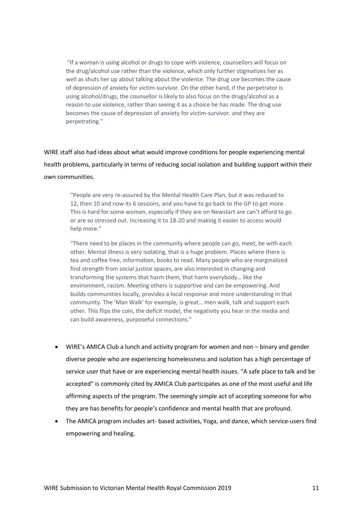"If a woman is using alcohol or drugs to cope with violence, counsellors will focus on the drug/alcohol use rather than the violence, which only further stigmatizes her as well as shuts her up about talking about the violence. The drug use becomes the cause of depression of anxiety for victim-survivor. On the other hand, if the perpetrator is using alcohol/drugs, the counsellor is likely to also focus on the drugs/alcohol as a reason to use violence, rather than seeing it as a choice he has made. The drug use becomes the cause of depression of anxiety for victim-survivor. and they are perpetrating."

WIRE staff also had ideas about what would improve conditions for people experiencing mental health problems, particularly in terms of reducing social isolation and building support within their own communities.

"People are very re-assured by the Mental Health Care Plan, but it was reduced to 12, then 10 and now its 6 sessions, and you have to go back to the GP to get more. This is hard for some women, especially if they are on Newstart are can't afford to go or are so stressed out. Increasing it to 18-20 and making it easier to access would help more."

"There need to be places in the community where people can go, meet, be with each other. Mental illness is very isolating, that is a huge problem. Places where there is tea and coffee free, information, books to read. Many people who are marginalized find strength from social justice spaces, are also interested in changing and transforming the systems that harm them, that harm everybody… like the environment, racism. Meeting others is supportive and can be empowering. And builds communities locally, provides a local response and more understanding in that community. The ['Man Walk' for](https://www.illawarramercury.com.au/story/6233569/safe-place-for-blokes-wollongong-man-walk-goes-viral-on-facebook/) example, is great… men walk, talk and support each other. This flips the coin, the deficit model, the negativity you hear in the media and can build awareness, purposeful connections."

- WIRE's AMICA Club a lunch and activity program for women and non binary and gender diverse people who are experiencing homelessness and isolation has a high percentage of service user that have or are experiencing mental health issues. "A safe place to talk and be accepted" is commonly cited by AMICA Club participates as one of the most useful and life affirming aspects of the program. The seemingly simple act of accepting someone for who they are has benefits for people's confidence and mental health that are profound.
- The AMICA program includes art- based activities, Yoga, and dance, which service-users find empowering and healing.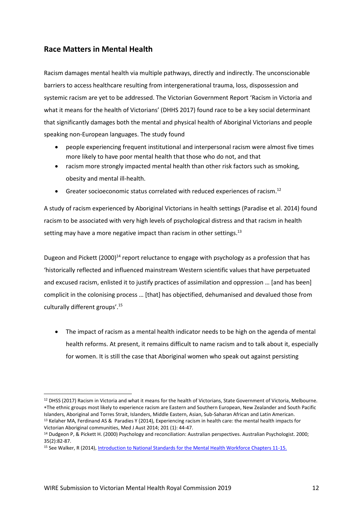# **Race Matters in Mental Health**

Racism damages mental health via multiple pathways, directly and indirectly. The unconscionable barriers to access healthcare resulting from intergenerational trauma, loss, dispossession and systemic racism are yet to be addressed. The Victorian Government Report 'Racism in Victoria and what it means for the health of Victorians' (DHHS 2017) found race to be a key social determinant that significantly damages both the mental and physical health of Aboriginal Victorians and people speaking non-European languages. The study found

- people experiencing frequent institutional and interpersonal racism were almost five times more likely to have poor mental health that those who do not, and that
- racism more strongly impacted mental health than other risk factors such as smoking, obesity and mental ill-health.
- Greater socioeconomic status correlated with reduced experiences of racism.<sup>12</sup>

A study of racism experienced by Aboriginal Victorians in health settings (Paradise et al. 2014) found racism to be associated with very high levels of psychological distress and that racism in health setting may have a more negative impact than racism in other settings. $^{13}$ 

Dugeon and Pickett  $(2000)^{14}$  report reluctance to engage with psychology as a profession that has 'historically reflected and influenced mainstream Western scientific values that have perpetuated and excused racism, enlisted it to justify practices of assimilation and oppression … [and has been] complicit in the colonising process … [that] has objectified, dehumanised and devalued those from culturally different groups'. 15

 The impact of racism as a mental health indicator needs to be high on the agenda of mental health reforms. At present, it remains difficult to name racism and to talk about it, especially for women. It is still the case that Aboriginal women who speak out against persisting

 $\overline{a}$ <sup>12</sup> DHSS (2017) Racism in Victoria and what it means for the health of Victorians, State Government of Victoria, Melbourne. The ethnic groups most likely to experience racism are Eastern and Southern European, New Zealander and South Pacific Islanders, Aboriginal and Torres Strait, Islanders, Middle Eastern, Asian, Sub-Saharan African and Latin American. <sup>13</sup> Kelaher MA, Ferdinand AS & Paradies Y (2014), Experiencing racism in health care: the mental health impacts for

Victorian Aboriginal communities, Med J Aust 2014; 201 (1): 44-47. <sup>14</sup> Dudgeon P, & Pickett H. (2000) Psychology and reconciliation: Australian perspectives. Australian Psychologist. 2000; 35(2):82-87.

<sup>15</sup> See Walker, R (2014)[, Introduction to National Standards for the Mental Health Workforce Chapters 11-15.](https://www.researchgate.net/publication/259715529_Introduction_to_National_Standards_for_the_Mental_Health_Workforce)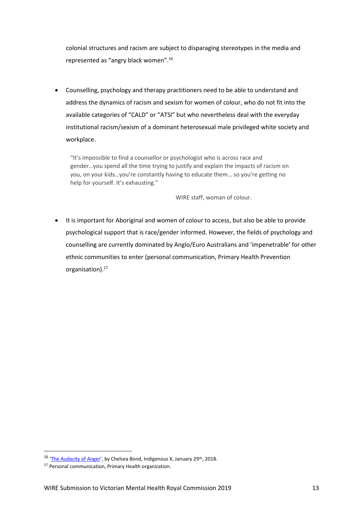colonial structures and racism are subject to disparaging stereotypes in the media and represented as "angry black women".<sup>16</sup>

 Counselling, psychology and therapy practitioners need to be able to understand and address the dynamics of racism and sexism for women of colour, who do not fit into the available categories of "CALD" or "ATSI" but who nevertheless deal with the everyday institutional racism/sexism of a dominant heterosexual male privileged white society and workplace.

"It's impossible to find a counsellor or psychologist who is across race and gender…you spend all the time trying to justify and explain the impacts of racism on you, on your kids…you're constantly having to educate them… so you're getting no help for yourself. It's exhausting."

WIRE staff, woman of colour.

• It is important for Aboriginal and women of colour to access, but also be able to provide psychological support that is race/gender informed. However, the fields of psychology and counselling are currently dominated by Anglo/Euro Australians and 'impenetrable' for other ethnic communities to enter (personal communication, Primary Health Prevention organisation).<sup>17</sup>

<sup>&</sup>lt;sup>16</sup> '[The Audacity of Anger](SUBMISSION%20TO%20THE%20VICTORIAN%20ROYAL%20COMMISSION%20INTO%20MENTAL%20HEALTH)', by Chelsea Bond, Indigenous X, January 29<sup>th</sup>, 2018.

<sup>&</sup>lt;sup>17</sup> Personal communication, Primary Health organization.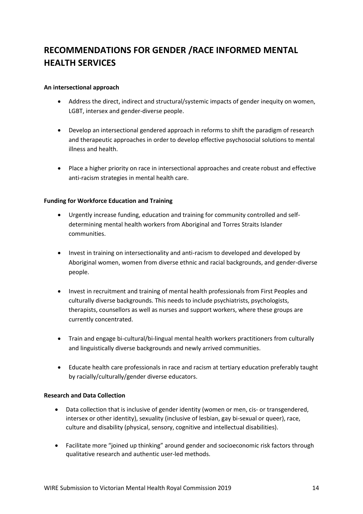# **RECOMMENDATIONS FOR GENDER /RACE INFORMED MENTAL HEALTH SERVICES**

#### **An intersectional approach**

- Address the direct, indirect and structural/systemic impacts of gender inequity on women, LGBT, intersex and gender-diverse people.
- Develop an intersectional gendered approach in reforms to shift the paradigm of research and therapeutic approaches in order to develop effective psychosocial solutions to mental illness and health.
- Place a higher priority on race in intersectional approaches and create robust and effective anti-racism strategies in mental health care.

#### **Funding for Workforce Education and Training**

- Urgently increase funding, education and training for community controlled and selfdetermining mental health workers from Aboriginal and Torres Straits Islander communities.
- Invest in training on intersectionality and anti-racism to developed and developed by Aboriginal women, women from diverse ethnic and racial backgrounds, and gender-diverse people.
- Invest in recruitment and training of mental health professionals from First Peoples and culturally diverse backgrounds. This needs to include psychiatrists, psychologists, therapists, counsellors as well as nurses and support workers, where these groups are currently concentrated.
- Train and engage bi-cultural/bi-lingual mental health workers practitioners from culturally and linguistically diverse backgrounds and newly arrived communities.
- Educate health care professionals in race and racism at tertiary education preferably taught by racially/culturally/gender diverse educators.

#### **Research and Data Collection**

- Data collection that is inclusive of gender identity (women or men, cis- or transgendered, intersex or other identity), sexuality (inclusive of lesbian, gay bi-sexual or queer), race, culture and disability (physical, sensory, cognitive and intellectual disabilities).
- Facilitate more "joined up thinking" around gender and socioeconomic risk factors through qualitative research and authentic user-led methods.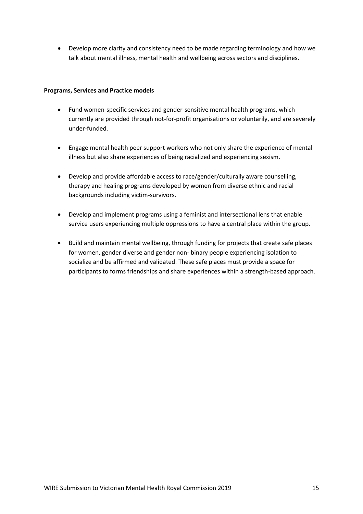Develop more clarity and consistency need to be made regarding terminology and how we talk about mental illness, mental health and wellbeing across sectors and disciplines.

#### **Programs, Services and Practice models**

- Fund women-specific services and gender-sensitive mental health programs, which currently are provided through not-for-profit organisations or voluntarily, and are severely under-funded.
- Engage mental health peer support workers who not only share the experience of mental illness but also share experiences of being racialized and experiencing sexism.
- Develop and provide affordable access to race/gender/culturally aware counselling, therapy and healing programs developed by women from diverse ethnic and racial backgrounds including victim-survivors.
- Develop and implement programs using a feminist and intersectional lens that enable service users experiencing multiple oppressions to have a central place within the group.
- Build and maintain mental wellbeing, through funding for projects that create safe places for women, gender diverse and gender non- binary people experiencing isolation to socialize and be affirmed and validated. These safe places must provide a space for participants to forms friendships and share experiences within a strength-based approach.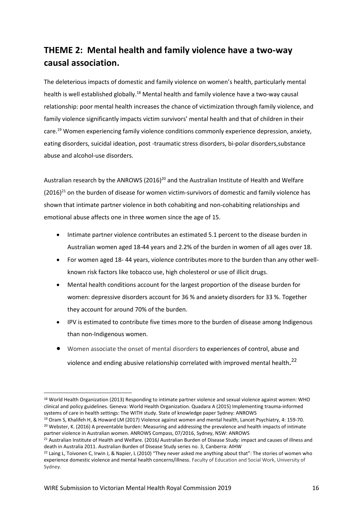# **THEME 2: Mental health and family violence have a two-way causal association.**

The deleterious impacts of domestic and family violence on women's health, particularly mental health is well established globally.<sup>18</sup> Mental health and family violence have a two-way causal relationship: poor mental health increases the chance of victimization through family violence, and family violence significantly impacts victim survivors' mental health and that of children in their care. <sup>19</sup> Women experiencing family violence conditions commonly experience depression, anxiety, eating disorders, suicidal ideation, post -traumatic stress disorders, bi-polar disorders,substance abuse and alcohol-use disorders.

Australian research by the ANROWS (2016)<sup>20</sup> and the Australian Institute of Health and Welfare  $(2016)^{21}$  on the burden of disease for women victim-survivors of domestic and family violence has shown that intimate partner violence in both cohabiting and non-cohabiting relationships and emotional abuse affects one in three women since the age of 15.

- Intimate partner violence contributes an estimated 5.1 percent to the disease burden in Australian women aged 18-44 years and 2.2% of the burden in women of all ages over 18.
- For women aged 18- 44 years, violence contributes more to the burden than any other wellknown risk factors like tobacco use, high cholesterol or use of illicit drugs.
- Mental health conditions account for the largest proportion of the disease burden for women: depressive disorders account for 36 % and anxiety disorders for 33 %. Together they account for around 70% of the burden.
- IPV is estimated to contribute five times more to the burden of disease among Indigenous than non-Indigenous women.
- Women associate the onset of mental disorders to experiences of control, abuse and violence and ending abusive relationship correlated with improved mental health.<sup>22</sup>

 $\overline{a}$ <sup>18</sup> World Health Organization (2013) Responding to intimate partner violence and sexual violence against women: WHO clinical and policy guidelines. Geneva: World Health Organization. Quadara A (2015) Implementing trauma-informed systems of care in health settings: The WITH study. State of knowledge paper Sydney: ANROWS

<sup>19</sup> Oram S, Khalifeh H, & Howard LM (2017) Violence against women and mental health, Lancet Psychiatry, 4: 159-70. <sup>20</sup> Webster, K. (2016) A preventable burden: Measuring and addressing the prevalence and health impacts of intimate partner violence in Australian women. ANROWS Compass, 07/2016, Sydney, NSW: ANROWS

<sup>21</sup> Australian Institute of Health and Welfare. (2016*)* Australian Burden of Disease Study: impact and causes of illness and death in Australia 2011. Australian Burden of Disease Study series no. 3, Canberra: AIHW

<sup>&</sup>lt;sup>22</sup> Laing L, Toivonen C, Irwin J, & Napier, L (2010) "They never asked me anything about that": The stories of women who experience domestic violence and mental health concerns/illness. Faculty of Education and Social Work, University of Sydney.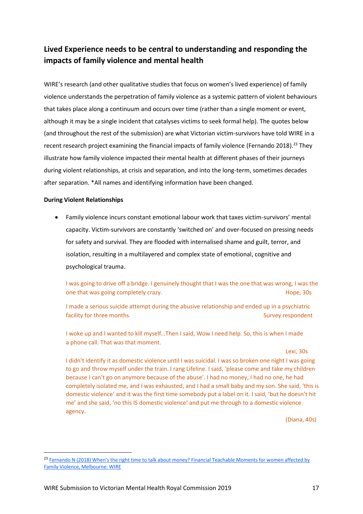# **Lived Experience needs to be central to understanding and responding the impacts of family violence and mental health**

WIRE's research (and other qualitative studies that focus on women's lived experience) of family violence understands the perpetration of family violence as a systemic pattern of violent behaviours that takes place along a continuum and occurs over time (rather than a single moment or event, although it may be a single incident that catalyses victims to seek formal help). The quotes below (and throughout the rest of the submission) are what Victorian victim-survivors have told WIRE in a recent research project examining the financial impacts of family violence (Fernando 2018).<sup>23</sup> They illustrate how family violence impacted their mental health at different phases of their journeys during violent relationships, at crisis and separation, and into the long-term, sometimes decades after separation. \*All names and identifying information have been changed.

#### **During Violent Relationships**

 $\overline{a}$ 

 Family violence incurs constant emotional labour work that taxes victim-survivors' mental capacity. Victim-survivors are constantly 'switched on' and over-focused on pressing needs for safety and survival. They are flooded with internalised shame and guilt, terror, and isolation, resulting in a multilayered and complex state of emotional, cognitive and psychological trauma.

I was going to drive off a bridge. I genuinely thought that I was the one that was wrong, I was the one that was going completely crazy. The same state of the state of the state of the state of the state of the state of the state of the state of the state of the state of the state of the state of the state of the state o

I made a serious suicide attempt during the abusive relationship and ended up in a psychiatric facility for three months. The state of the state of the state of the state of the state of the state of the state of the state of the state of the state of the state of the state of the state of the state of the state of

I woke up and I wanted to kill myself…Then I said, Wow I need help. So, this is when I made a phone call. That was that moment.

#### Lexi, 30s

I didn't identify it as domestic violence until I was suicidal. I was so broken one night I was going to go and throw myself under the train. I rang Lifeline. I said, 'please come and take my children because I can't go on anymore because of the abuse'. I had no money, I had no one, he had completely isolated me, and I was exhausted, and I had a small baby and my son. She said, 'this is domestic violence' and it was the first time somebody put a label on it. I said, 'but he doesn't hit me' and she said, 'no this IS domestic violence' and put me through to a domestic violence agency.

(Diana, 40s)

<sup>&</sup>lt;sup>23</sup> Fernando N (2018) When's the right time to talk about money? Financial Teachable Moments for women affected by [Family Violence, Melbourne: WIRE](https://www.wire.org.au/teachable-moments/)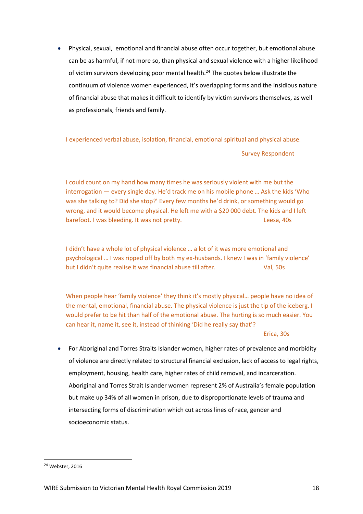Physical, sexual, emotional and financial abuse often occur together, but emotional abuse can be as harmful, if not more so, than physical and sexual violence with a higher likelihood of victim survivors developing poor mental health.<sup>24</sup> The quotes below illustrate the continuum of violence women experienced, it's overlapping forms and the insidious nature of financial abuse that makes it difficult to identify by victim survivors themselves, as well as professionals, friends and family.

I experienced verbal abuse, isolation, financial, emotional spiritual and physical abuse.

Survey Respondent

I could count on my hand how many times he was seriously violent with me but the interrogation — every single day. He'd track me on his mobile phone … Ask the kids 'Who was she talking to? Did she stop?' Every few months he'd drink, or something would go wrong, and it would become physical. He left me with a \$20 000 debt. The kids and I left barefoot. I was bleeding. It was not pretty. The matter of the case, 40s

I didn't have a whole lot of physical violence … a lot of it was more emotional and psychological … I was ripped off by both my ex-husbands. I knew I was in 'family violence' but I didn't quite realise it was financial abuse till after. Val, 50s

When people hear 'family violence' they think it's mostly physical… people have no idea of the mental, emotional, financial abuse. The physical violence is just the tip of the iceberg. I would prefer to be hit than half of the emotional abuse. The hurting is so much easier. You can hear it, name it, see it, instead of thinking 'Did he really say that'?

Erica, 30s

 For Aboriginal and Torres Straits Islander women, higher rates of prevalence and morbidity of violence are directly related to structural financial exclusion, lack of access to legal rights, employment, housing, health care, higher rates of child removal, and incarceration. Aboriginal and Torres Strait Islander women represent 2% of Australia's female population but make up 34% of all women in prison, due to disproportionate levels of trauma and intersecting forms of discrimination which cut across lines of race, gender and socioeconomic status.

 $\overline{\phantom{a}}$ 

<sup>24</sup> Webster, 2016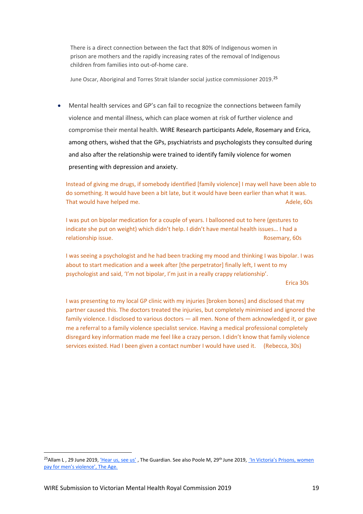There is a direct connection between the fact that 80% of Indigenous women in prison are mothers and the rapidly increasing rates of the removal of Indigenous children from families into out-of-home care.

June Oscar, Aboriginal and Torres Strait Islander social justice commissioner 2019. 25

 Mental health services and GP's can fail to recognize the connections between family violence and mental illness, which can place women at risk of further violence and compromise their mental health. WIRE Research participants Adele, Rosemary and Erica, among others, wished that the GPs, psychiatrists and psychologists they consulted during and also after the relationship were trained to identify family violence for women presenting with depression and anxiety.

Instead of giving me drugs, if somebody identified [family violence] I may well have been able to do something. It would have been a bit late, but it would have been earlier than what it was. That would have helped me. Adele, 60s and the method of the method of the method of the method of the method of the method of the method of the method of the method of the method of the method of the method of the method o

I was put on bipolar medication for a couple of years. I ballooned out to here (gestures to indicate she put on weight) which didn't help. I didn't have mental health issues… I had a relationship issue. Rosemary, 60s

I was seeing a psychologist and he had been tracking my mood and thinking I was bipolar. I was about to start medication and a week after [the perpetrator] finally left, I went to my psychologist and said, 'I'm not bipolar, I'm just in a really crappy relationship'.

Erica 30s

I was presenting to my local GP clinic with my injuries [broken bones] and disclosed that my partner caused this. The doctors treated the injuries, but completely minimised and ignored the family violence. I disclosed to various doctors — all men. None of them acknowledged it, or gave me a referral to a family violence specialist service. Having a medical professional completely disregard key information made me feel like a crazy person. I didn't know that family violence services existed. Had I been given a contact number I would have used it. (Rebecca, 30s)

<sup>&</sup>lt;sup>25</sup>Allam L, 29 June 2019, <u>['Hear us, see us'](https://www.theguardian.com/australia-news/2019/jun/29/hear-us-see-us-a-plea-to-the-un-for-indigenous-women?CMP=share_btn_tw&fbclid=IwAR3V9qRdeRgYC_BbMZ5WPFboGrU4al_i03sPgq35AymfgPkIqAG1uHMqR8w#img-2)</u>, The Guardian. See also Poole M, 29<sup>th</sup> June 2019, <u>'In Victoria's Prisons, women</u> [pay for men's violence',](https://www.theage.com.au/national/victoria/in-victoria-s-prisons-women-pay-for-men-s-violence-20190628-p5226v.html?fbclid=IwAR2HiQyH5ae2PLD3BkAoa11pL84gpu47qoyJj4nU9XkDKhn0ZavUgObzYj4) The Age.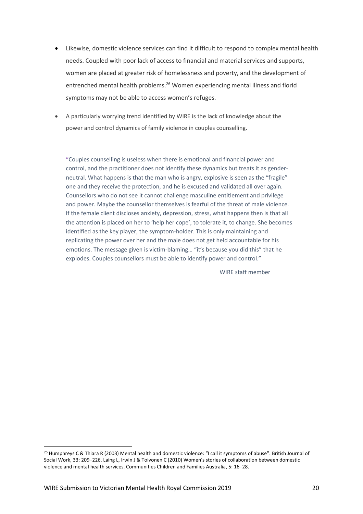- Likewise, domestic violence services can find it difficult to respond to complex mental health needs. Coupled with poor lack of access to financial and material services and supports, women are placed at greater risk of homelessness and poverty, and the development of entrenched mental health problems.<sup>26</sup> Women experiencing mental illness and florid symptoms may not be able to access women's refuges.
- A particularly worrying trend identified by WIRE is the lack of knowledge about the power and control dynamics of family violence in couples counselling.

"Couples counselling is useless when there is emotional and financial power and control, and the practitioner does not identify these dynamics but treats it as genderneutral. What happens is that the man who is angry, explosive is seen as the "fragile" one and they receive the protection, and he is excused and validated all over again. Counsellors who do not see it cannot challenge masculine entitlement and privilege and power. Maybe the counsellor themselves is fearful of the threat of male violence. If the female client discloses anxiety, depression, stress, what happens then is that all the attention is placed on her to 'help her cope', to tolerate it, to change. She becomes identified as the key player, the symptom-holder. This is only maintaining and replicating the power over her and the male does not get held accountable for his emotions. The message given is victim-blaming… "it's because you did this" that he explodes. Couples counsellors must be able to identify power and control."

WIRE staff member

<sup>&</sup>lt;sup>26</sup> Humphreys C & Thiara R (2003) Mental health and domestic violence: "I call it symptoms of abuse". British Journal of Social Work, 33: 209–226. Laing L, Irwin J & Toivonen C (2010) Women's stories of collaboration between domestic violence and mental health services. Communities Children and Families Australia, 5: 16–28.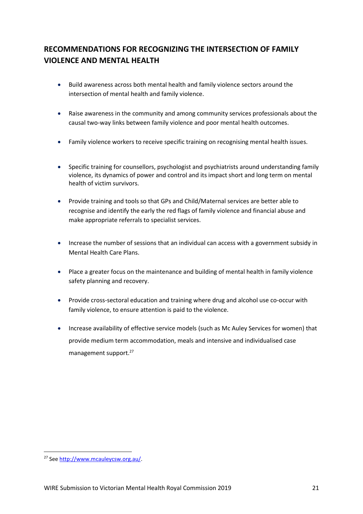# **RECOMMENDATIONS FOR RECOGNIZING THE INTERSECTION OF FAMILY VIOLENCE AND MENTAL HEALTH**

- Build awareness across both mental health and family violence sectors around the intersection of mental health and family violence.
- Raise awareness in the community and among community services professionals about the causal two-way links between family violence and poor mental health outcomes.
- Family violence workers to receive specific training on recognising mental health issues.
- Specific training for counsellors, psychologist and psychiatrists around understanding family violence, its dynamics of power and control and its impact short and long term on mental health of victim survivors.
- Provide training and tools so that GPs and Child/Maternal services are better able to recognise and identify the early the red flags of family violence and financial abuse and make appropriate referrals to specialist services.
- Increase the number of sessions that an individual can access with a government subsidy in Mental Health Care Plans.
- Place a greater focus on the maintenance and building of mental health in family violence safety planning and recovery.
- Provide cross-sectoral education and training where drug and alcohol use co-occur with family violence, to ensure attention is paid to the violence.
- Increase availability of effective service models (such as Mc Auley Services for women) that provide medium term accommodation, meals and intensive and individualised case management support.<sup>27</sup>

<sup>27</sup> Se[e http://www.mcauleycsw.org.au/.](http://www.mcauleycsw.org.au/)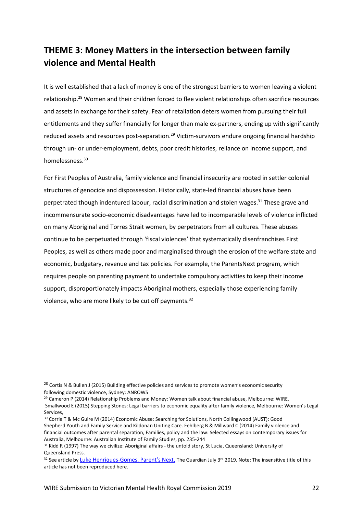# **THEME 3: Money Matters in the intersection between family violence and Mental Health**

It is well established that a lack of money is one of the strongest barriers to women leaving a violent relationship.<sup>28</sup> Women and their children forced to flee violent relationships often sacrifice resources and assets in exchange for their safety. Fear of retaliation deters women from pursuing their full entitlements and they suffer financially for longer than male ex-partners, ending up with significantly reduced assets and resources post-separation.<sup>29</sup> Victim-survivors endure ongoing financial hardship through un- or under-employment, debts, poor credit histories, reliance on income support, and homelessness. 30

For First Peoples of Australia, family violence and financial insecurity are rooted in settler colonial structures of genocide and dispossession. Historically, state-led financial abuses have been perpetrated though indentured labour, racial discrimination and stolen wages.<sup>31</sup> These grave and incommensurate socio-economic disadvantages have led to incomparable levels of violence inflicted on many Aboriginal and Torres Strait women, by perpetrators from all cultures. These abuses continue to be perpetuated through 'fiscal violences' that systematically disenfranchises First Peoples, as well as others made poor and marginalised through the erosion of the welfare state and economic, budgetary, revenue and tax policies. For example, the ParentsNext program, which requires people on parenting payment to undertake compulsory activities to keep their income support, disproportionately impacts Aboriginal mothers, especially those experiencing family violence, who are more likely to be cut off payments.<sup>32</sup>

<sup>&</sup>lt;sup>28</sup> Cortis N & Bullen J (2015) Building effective policies and services to promote women's economic security following domestic violence, Sydney: ANROWS

<sup>&</sup>lt;sup>29</sup> Cameron P (2014) Relationship Problems and Money: Women talk about financial abuse, Melbourne: WIRE.

Smallwood E (2015) Stepping Stones: Legal barriers to economic equality after family violence, Melbourne: Women's Legal Services,

<sup>30</sup> Corrie T & Mc Guire M (2014) Economic Abuse: Searching for Solutions, North Collingwood (AUST): Good Shepherd Youth and Family Service and Kildonan Uniting Care. Fehlberg B & Millward C (2014) Family violence and financial outcomes after parental separation, Families, policy and the law: Selected essays on contemporary issues for Australia, Melbourne: Australian Institute of Family Studies, pp. 235-244

<sup>31</sup> Kidd R (1997) The way we civilize: Aboriginal affairs - the untold story, St Lucia, Queensland: University of Queensland Press.

<sup>32</sup> See article by Luke Henriques-[Gomes, Parent's Next,](https://www.theguardian.com/australia-news/2019/jul/03/parentsnext-woman-caring-for-dead-sisters-children-had-payments-cut-off) The Guardian July 3rd 2019. Note: The insensitive title of this article has not been reproduced here.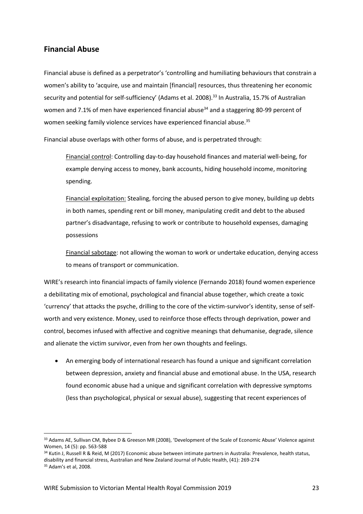## **Financial Abuse**

Financial abuse is defined as a perpetrator's 'controlling and humiliating behaviours that constrain a women's ability to 'acquire, use and maintain [financial] resources, thus threatening her economic security and potential for self-sufficiency' (Adams et al. 2008).<sup>33</sup> In Australia, 15.7% of Australian women and 7.1% of men have experienced financial abuse<sup>34</sup> and a staggering 80-99 percent of women seeking family violence services have experienced financial abuse.<sup>35</sup>

Financial abuse overlaps with other forms of abuse, and is perpetrated through:

Financial control: Controlling day-to-day household finances and material well-being, for example denying access to money, bank accounts, hiding household income, monitoring spending.

Financial exploitation: Stealing, forcing the abused person to give money, building up debts in both names, spending rent or bill money, manipulating credit and debt to the abused partner's disadvantage, refusing to work or contribute to household expenses, damaging possessions

Financial sabotage: not allowing the woman to work or undertake education, denying access to means of transport or communication.

WIRE's research into financial impacts of family violence (Fernando 2018) found women experience a debilitating mix of emotional, psychological and financial abuse together, which create a toxic 'currency' that attacks the psyche, drilling to the core of the victim-survivor's identity, sense of selfworth and very existence. Money, used to reinforce those effects through deprivation, power and control, becomes infused with affective and cognitive meanings that dehumanise, degrade, silence and alienate the victim survivor, even from her own thoughts and feelings.

 An emerging body of international research has found a unique and significant correlation between depression, anxiety and financial abuse and emotional abuse. In the USA, research found economic abuse had a unique and significant correlation with depressive symptoms (less than psychological, physical or sexual abuse), suggesting that recent experiences of

<sup>33</sup> Adams AE, Sullivan CM, Bybee D & Greeson MR (2008), 'Development of the Scale of Economic Abuse' Violence against Women, 14 (5): pp. 563-588

<sup>34</sup> Kutin J, Russell R & Reid, M (2017) Economic abuse between intimate partners in Australia: Prevalence, health status, disability and financial stress, Australian and New Zealand Journal of Public Health, (41): 269-274

<sup>35</sup> Adam's et al, 2008.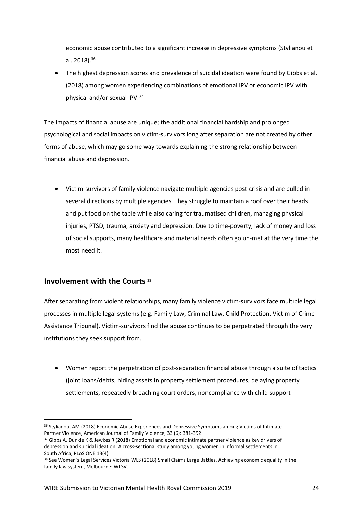economic abuse contributed to a significant increase in depressive symptoms (Stylianou et al. 2018).<sup>36</sup>

 The highest depression scores and prevalence of suicidal ideation were found by Gibbs et al. (2018) among women experiencing combinations of emotional IPV or economic IPV with physical and/or sexual IPV.<sup>37</sup>

The impacts of financial abuse are unique; the additional financial hardship and prolonged psychological and social impacts on victim-survivors long after separation are not created by other forms of abuse, which may go some way towards explaining the strong relationship between financial abuse and depression.

 Victim-survivors of family violence navigate multiple agencies post-crisis and are pulled in several directions by multiple agencies. They struggle to maintain a roof over their heads and put food on the table while also caring for traumatised children, managing physical injuries, PTSD, trauma, anxiety and depression. Due to time-poverty, lack of money and loss of social supports, many healthcare and material needs often go un-met at the very time the most need it.

## **Involvement with the Courts** <sup>38</sup>

 $\overline{a}$ 

After separating from violent relationships, many family violence victim-survivors face multiple legal processes in multiple legal systems (e.g. Family Law, Criminal Law, Child Protection, Victim of Crime Assistance Tribunal). Victim-survivors find the abuse continues to be perpetrated through the very institutions they seek support from.

 Women report the perpetration of post-separation financial abuse through a suite of tactics (joint loans/debts, hiding assets in property settlement procedures, delaying property settlements, repeatedly breaching court orders, noncompliance with child support

<sup>&</sup>lt;sup>36</sup> Stylianou, AM (2018) Economic Abuse Experiences and Depressive Symptoms among Victims of Intimate Partner Violence, American Journal of Family Violence, 33 (6): 381-392

<sup>&</sup>lt;sup>37</sup> Gibbs A, Dunkle K & Jewkes R (2018) Emotional and economic intimate partner violence as key drivers of depression and suicidal ideation: A cross-sectional study among young women in informal settlements in South Africa, PLoS ONE 13(4)

<sup>38</sup> See Women's Legal Services Victoria WLS (2018) Small Claims Large Battles, Achieving economic equality in the family law system, Melbourne: WLSV.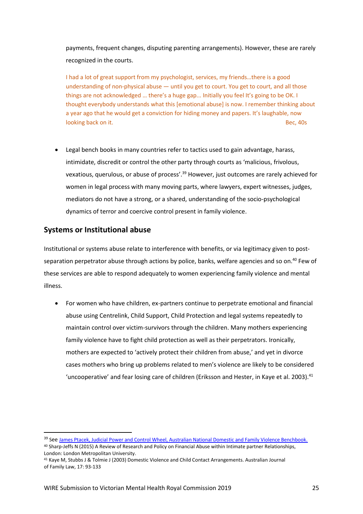payments, frequent changes, disputing parenting arrangements). However, these are rarely recognized in the courts.

I had a lot of great support from my psychologist, services, my friends…there is a good understanding of non-physical abuse — until you get to court. You get to court, and all those things are not acknowledged … there's a huge gap... Initially you feel It's going to be OK. I thought everybody understands what this [emotional abuse] is now. I remember thinking about a year ago that he would get a conviction for hiding money and papers. It's laughable, now looking back on it. Bec, 40s

 Legal bench books in many countries refer to tactics used to gain advantage, harass, intimidate, discredit or control the other party through courts as 'malicious, frivolous, vexatious, querulous, or abuse of process'.<sup>39</sup> However, just outcomes are rarely achieved for women in legal process with many moving parts, where lawyers, expert witnesses, judges, mediators do not have a strong, or a shared, understanding of the socio-psychological dynamics of terror and coercive control present in family violence.

## **Systems or Institutional abuse**

Institutional or systems abuse relate to interference with benefits, or via legitimacy given to postseparation perpetrator abuse through actions by police, banks, welfare agencies and so on.<sup>40</sup> Few of these services are able to respond adequately to women experiencing family violence and mental illness.

 For women who have children, ex-partners continue to perpetrate emotional and financial abuse using Centrelink, Child Support, Child Protection and legal systems repeatedly to maintain control over victim-survivors through the children. Many mothers experiencing family violence have to fight child protection as well as their perpetrators. Ironically, mothers are expected to 'actively protect their children from abuse,' and yet in divorce cases mothers who bring up problems related to men's violence are likely to be considered 'uncooperative' and fear losing care of children (Eriksson and Hester, in Kaye et al. 2003).<sup>41</sup>

 $\overline{\phantom{a}}$ 

<sup>&</sup>lt;sup>39</sup> See [James Ptacek, Judicial Power and Control Wheel, Australian National Domestic and Family Violence Benchbook.](http://www.dfvbenchbook.aija.org.au/understanding-domestic-and-family-violence/systems-abuse/kl) <sup>40</sup> Sharp-Jeffs N (2015) A Review of Research and Policy on Financial Abuse within Intimate partner Relationships,

London: London Metropolitan University.

<sup>41</sup> Kaye M, Stubbs J & Tolmie J (2003) Domestic Violence and Child Contact Arrangements. Australian Journal of Family Law, 17: 93-133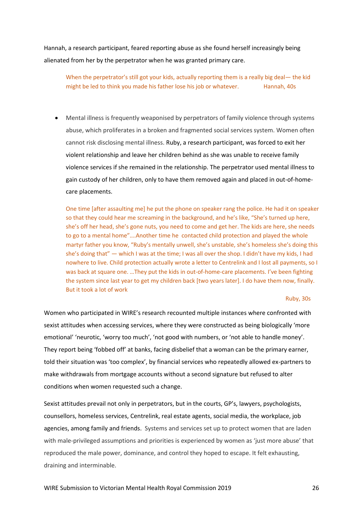Hannah, a research participant, feared reporting abuse as she found herself increasingly being alienated from her by the perpetrator when he was granted primary care.

When the perpetrator's still got your kids, actually reporting them is a really big deal— the kid might be led to think you made his father lose his job or whatever. Hannah, 40s

 Mental illness is frequently weaponised by perpetrators of family violence through systems abuse, which proliferates in a broken and fragmented social services system. Women often cannot risk disclosing mental illness. Ruby, a research participant, was forced to exit her violent relationship and leave her children behind as she was unable to receive family violence services if she remained in the relationship. The perpetrator used mental illness to gain custody of her children, only to have them removed again and placed in out-of-homecare placements.

One time [after assaulting me] he put the phone on speaker rang the police. He had it on speaker so that they could hear me screaming in the background, and he's like, "She's turned up here, she's off her head, she's gone nuts, you need to come and get her. The kids are here, she needs to go to a mental home"….Another time he contacted child protection and played the whole martyr father you know, "Ruby's mentally unwell, she's unstable, she's homeless she's doing this she's doing that" — which I was at the time; I was all over the shop. I didn't have my kids, I had nowhere to live. Child protection actually wrote a letter to Centrelink and I lost all payments, so I was back at square one. …They put the kids in out-of-home-care placements. I've been fighting the system since last year to get my children back [two years later]. I do have them now, finally. But it took a lot of work

#### Ruby, 30s

Women who participated in WIRE's research recounted multiple instances where confronted with sexist attitudes when accessing services, where they were constructed as being biologically 'more emotional' 'neurotic, 'worry too much', 'not good with numbers, or 'not able to handle money'. They report being 'fobbed off' at banks, facing disbelief that a woman can be the primary earner, told their situation was 'too complex', by financial services who repeatedly allowed ex-partners to make withdrawals from mortgage accounts without a second signature but refused to alter conditions when women requested such a change.

Sexist attitudes prevail not only in perpetrators, but in the courts, GP's, lawyers, psychologists, counsellors, homeless services, Centrelink, real estate agents, social media, the workplace, job agencies, among family and friends. Systems and services set up to protect women that are laden with male-privileged assumptions and priorities is experienced by women as 'just more abuse' that reproduced the male power, dominance, and control they hoped to escape. It felt exhausting, draining and interminable.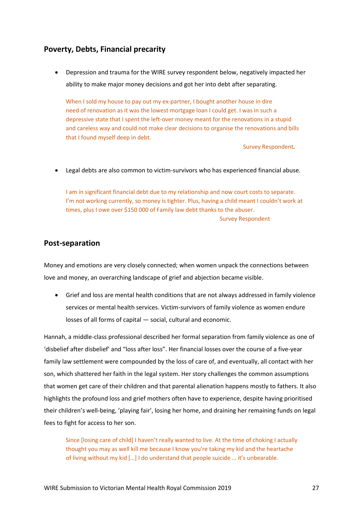# **Poverty, Debts, Financial precarity**

 Depression and trauma for the WIRE survey respondent below, negatively impacted her ability to make major money decisions and got her into debt after separating.

When I sold my house to pay out my ex-partner, I bought another house in dire need of renovation as it was the lowest mortgage loan I could get. I was in such a depressive state that I spent the left-over money meant for the renovations in a stupid and careless way and could not make clear decisions to organise the renovations and bills that I found myself deep in debt.

Survey Respondent*.*

Legal debts are also common to victim-survivors who has experienced financial abuse.

I am in significant financial debt due to my relationship and now court costs to separate. I'm not working currently, so money is tighter. Plus, having a child meant I couldn't work at times, plus I owe over \$150 000 of Family law debt thanks to the abuser. Survey Respondent

## **Post-separation**

Money and emotions are very closely connected; when women unpack the connections between love and money, an overarching landscape of grief and abjection became visible.

 Grief and loss are mental health conditions that are not always addressed in family violence services or mental health services. Victim-survivors of family violence as women endure losses of all forms of capital — social, cultural and economic.

Hannah, a middle-class professional described her formal separation from family violence as one of 'disbelief after disbelief' and "loss after loss". Her financial losses over the course of a five-year family law settlement were compounded by the loss of care of, and eventually, all contact with her son, which shattered her faith in the legal system. Her story challenges the common assumptions that women get care of their children and that parental alienation happens mostly to fathers. It also highlights the profound loss and grief mothers often have to experience, despite having prioritised their children's well-being, 'playing fair', losing her home, and draining her remaining funds on legal fees to fight for access to her son.

Since [losing care of child] I haven't really wanted to live. At the time of choking I actually thought you may as well kill me because I know you're taking my kid and the heartache of living without my kid […] I do understand that people suicide … it's unbearable.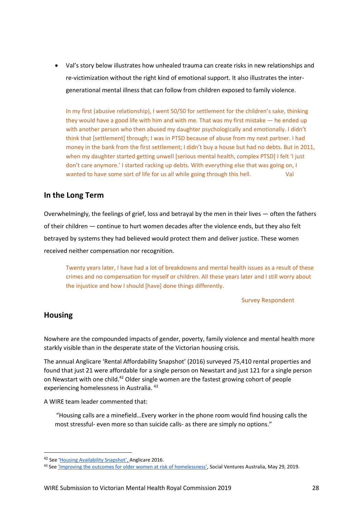Val's story below illustrates how unhealed trauma can create risks in new relationships and re-victimization without the right kind of emotional support. It also illustrates the intergenerational mental illness that can follow from children exposed to family violence.

In my first (abusive relationship), I went 50/50 for settlement for the children's sake, thinking they would have a good life with him and with me. That was my first mistake — he ended up with another person who then abused my daughter psychologically and emotionally. I didn't think that [settlement] through; I was in PTSD because of abuse from my next partner. I had money in the bank from the first settlement; I didn't buy a house but had no debts. But in 2011, when my daughter started getting unwell [serious mental health, complex PTSD] I felt 'I just don't care anymore.' I started racking up debts. With everything else that was going on, I wanted to have some sort of life for us all while going through this hell. Val

# **In the Long Term**

Overwhelmingly, the feelings of grief, loss and betrayal by the men in their lives — often the fathers of their children — continue to hurt women decades after the violence ends, but they also felt betrayed by systems they had believed would protect them and deliver justice. These women received neither compensation nor recognition.

Twenty years later, I have had a lot of breakdowns and mental health issues as a result of these crimes and no compensation for myself or children. All these years later and I still worry about the injustice and how I should [have] done things differently.

Survey Respondent

## **Housing**

 $\overline{a}$ 

Nowhere are the compounded impacts of gender, poverty, family violence and mental health more starkly visible than in the desperate state of the Victorian housing crisis.

The annual Anglicare 'Rental Affordability Snapshot' (2016) surveyed 75,410 rental properties and found that just 21 were affordable for a single person on Newstart and just 121 for a single person on Newstart with one child.<sup>42</sup> Older single women are the fastest growing cohort of people experiencing homelessness in Australia. 43

A WIRE team leader commented that:

"Housing calls are a minefield…Every worker in the phone room would find housing calls the most stressful- even more so than suicide calls- as there are simply no options."

<sup>&</sup>lt;sup>42</sup> See ['Housing Availability Snapshot'](http://www.anglicare.asn.au/docs/default-source/default-document-library/rental-affordability-snapshot-2016.pdf?sfvrsn=7), Anglicare 2016.

<sup>43</sup> See ['Improving the outcomes for older women at risk of homelessness'](https://www.socialventures.com.au/sva-quarterly/improving-the-outcomes-for-older-women-at-risk-of-homelessness/), Social Ventures Australia, May 29, 2019.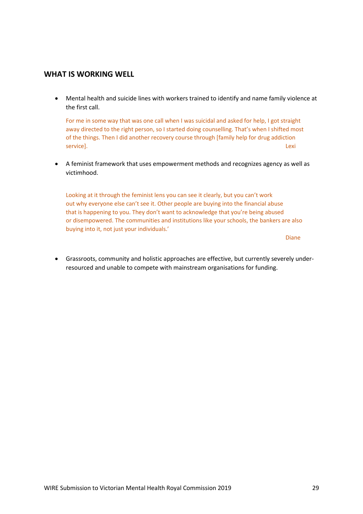## **WHAT IS WORKING WELL**

 Mental health and suicide lines with workers trained to identify and name family violence at the first call.

For me in some way that was one call when I was suicidal and asked for help, I got straight away directed to the right person, so I started doing counselling. That's when I shifted most of the things. Then I did another recovery course through [family help for drug addiction service]. Lexi

 A feminist framework that uses empowerment methods and recognizes agency as well as victimhood.

Looking at it through the feminist lens you can see it clearly, but you can't work out why everyone else can't see it. Other people are buying into the financial abuse that is happening to you. They don't want to acknowledge that you're being abused or disempowered. The communities and institutions like your schools, the bankers are also buying into it, not just your individuals.'

Diane

 Grassroots, community and holistic approaches are effective, but currently severely underresourced and unable to compete with mainstream organisations for funding.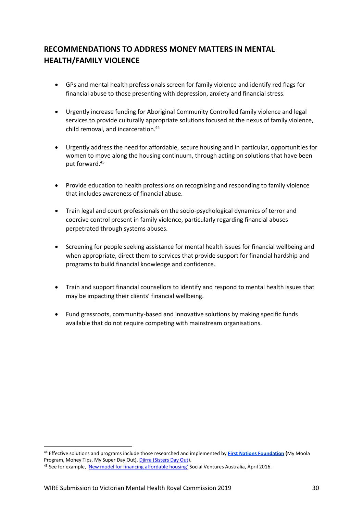# **RECOMMENDATIONS TO ADDRESS MONEY MATTERS IN MENTAL HEALTH/FAMILY VIOLENCE**

- GPs and mental health professionals screen for family violence and identify red flags for financial abuse to those presenting with depression, anxiety and financial stress.
- Urgently increase funding for Aboriginal Community Controlled family violence and legal services to provide culturally appropriate solutions focused at the nexus of family violence, child removal, and incarceration.<sup>44</sup>
- Urgently address the need for affordable, secure housing and in particular, opportunities for women to move along the housing continuum, through acting on solutions that have been put forward.<sup>45</sup>
- Provide education to health professions on recognising and responding to family violence that includes awareness of financial abuse.
- Train legal and court professionals on the socio-psychological dynamics of terror and coercive control present in family violence, particularly regarding financial abuses perpetrated through systems abuses.
- Screening for people seeking assistance for mental health issues for financial wellbeing and when appropriate, direct them to services that provide support for financial hardship and programs to build financial knowledge and confidence.
- Train and support financial counsellors to identify and respond to mental health issues that may be impacting their clients' financial wellbeing.
- Fund grassroots, community-based and innovative solutions by making specific funds available that do not require competing with mainstream organisations.

<sup>&</sup>lt;sup>44</sup>Effective solutions and programs include those researched and implemented by First Nations Foundation (My Moola Program, Money Tips, My Super Day Out)[, Djirra \(Sisters Day Out\)](https://djirra.org.au/).

<sup>45</sup> See for example, ['New model for financing affordable housing'](https://www.socialventures.com.au/sva-quarterly/new-model-financing-affordable-housing) Social Ventures Australia, April 2016.